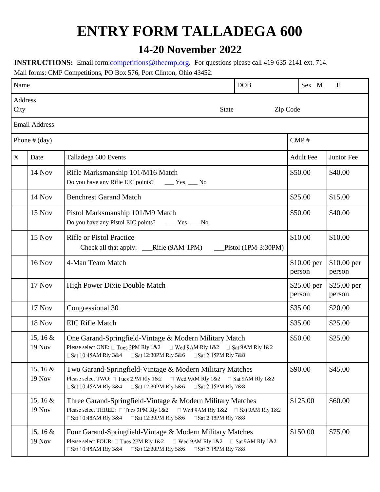## **ENTRY FORM TALLADEGA 600**

## **14-20 November 2022**

**INSTRUCTIONS:** Email form: **competitions** @thecmp.org. For questions please call 419-635-2141 ext. 714. Mail forms: CMP Competitions, PO Box 576, Port Clinton, Ohio 43452.

| Name                                        |                             |                                                                                                                                                                                                                                      | <b>DOB</b>          | Sex M                   | $\mathbf F$           |
|---------------------------------------------|-----------------------------|--------------------------------------------------------------------------------------------------------------------------------------------------------------------------------------------------------------------------------------|---------------------|-------------------------|-----------------------|
| Address<br>City<br>Zip Code<br><b>State</b> |                             |                                                                                                                                                                                                                                      |                     |                         |                       |
|                                             | <b>Email Address</b>        |                                                                                                                                                                                                                                      |                     |                         |                       |
| Phone $#$ (day)                             |                             |                                                                                                                                                                                                                                      |                     | $\text{CMP}\,\text{\#}$ |                       |
| X                                           | Date                        | Talladega 600 Events                                                                                                                                                                                                                 |                     | <b>Adult Fee</b>        | Junior Fee            |
|                                             | 14 Nov                      | Rifle Marksmanship 101/M16 Match<br>Do you have any Rifle EIC points?<br>$Yes$ Mo                                                                                                                                                    |                     | \$50.00                 | \$40.00               |
|                                             | 14 Nov                      | <b>Benchrest Garand Match</b>                                                                                                                                                                                                        |                     | \$25.00                 | \$15.00               |
|                                             | 15 Nov                      | Pistol Marksmanship 101/M9 Match<br>Do you have any Pistol EIC points?<br>$Yes$ Mo                                                                                                                                                   |                     | \$50.00                 | \$40.00               |
|                                             | 15 Nov                      | <b>Rifle or Pistol Practice</b><br>Check all that apply: __Rifle (9AM-1PM)                                                                                                                                                           | Pistol (1PM-3:30PM) | \$10.00                 | \$10.00               |
|                                             | <b>16 Nov</b>               | 4-Man Team Match                                                                                                                                                                                                                     |                     | \$10.00 per<br>person   | \$10.00 per<br>person |
|                                             | 17 Nov                      | <b>High Power Dixie Double Match</b>                                                                                                                                                                                                 |                     | \$25.00 per<br>person   | \$25.00 per<br>person |
|                                             | 17 Nov                      | Congressional 30                                                                                                                                                                                                                     |                     | \$35.00                 | \$20.00               |
|                                             | 18 Nov                      | <b>EIC Rifle Match</b>                                                                                                                                                                                                               |                     | \$35.00                 | \$25.00               |
|                                             | 15, 16 $&$<br>19 Nov        | One Garand-Springfield-Vintage & Modern Military Match<br>Please select ONE: □ Tues 2PM Rly 1&2<br>$\Box$ Wed 9AM Rly 1&2 $\Box$ Sat 9AM Rly 1&2                                                                                     |                     | \$50.00                 | \$25.00               |
|                                             | 15, 16 $&$<br><b>19 Nov</b> | Two Garand-Springfield-Vintage & Modern Military Matches<br>Please select TWO: $\Box$ Tues 2PM Rly 1&2 $\Box$ Wed 9AM Rly 1&2 $\Box$ Sat 9AM Rly 1&2<br>□Sat 10:45AM Rly 3&4<br>□Sat 12:30PM Rly 5&6<br>□Sat 2:15PM Rly 7&8          |                     | \$90.00                 | \$45.00               |
|                                             | 15, 16 $&$<br><b>19 Nov</b> | Three Garand-Springfield-Vintage & Modern Military Matches<br>Please select THREE: □ Tues 2PM Rly 1&2<br>$\Box$ Wed 9AM Rly 1&2 $\Box$ Sat 9AM Rly 1&2<br>□Sat 10:45AM Rly 3&4<br>□Sat 12:30PM Rly 5&6<br>□Sat 2:15PM Rly 7&8        |                     | \$125.00                | \$60.00               |
|                                             | 15, 16 $&$<br><b>19 Nov</b> | Four Garand-Springfield-Vintage & Modern Military Matches<br>Please select FOUR: □ Tues 2PM Rly 1&2<br>$\Box$ Wed 9AM Rly 1&2 $\Box$ Sat 9AM Rly 1&2<br>□Sat 10:45AM Rly 3&4<br>□Sat 12:30PM Rly 5&6<br>$\square$ Sat 2:15PM RIy 7&8 |                     | \$150.00                | \$75.00               |